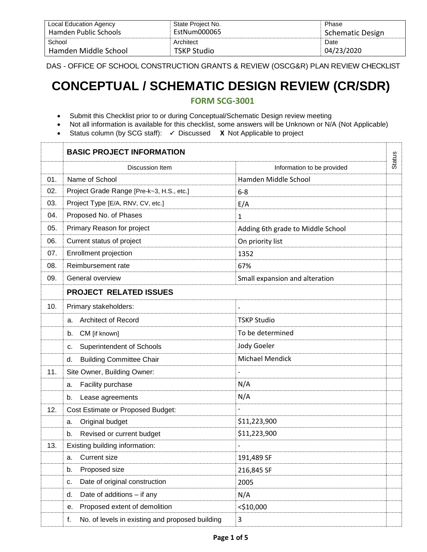| Local Education Agency | State Project No. | Phase                   |
|------------------------|-------------------|-------------------------|
| Hamden Public Schools  | EstNum000065      | <b>Schematic Design</b> |
| School                 | Architect         | Date                    |
| Hamden Middle School   | TSKP Studio       | 04/23/2020              |

DAS - OFFICE OF SCHOOL CONSTRUCTION GRANTS & REVIEW (OSCG&R) PLAN REVIEW CHECKLIST

# **CONCEPTUAL / SCHEMATIC DESIGN REVIEW (CR/SDR)**

## **FORM SCG-3001**

- Submit this Checklist prior to or during Conceptual/Schematic Design review meeting
- Not all information is available for this checklist, some answers will be Unknown or N/A (Not Applicable)
- Status column (by SCG staff):  $\checkmark$  Discussed X Not Applicable to project

|     | <b>BASIC PROJECT INFORMATION</b>                      |                                   |               |
|-----|-------------------------------------------------------|-----------------------------------|---------------|
|     | Discussion Item                                       | Information to be provided        | <b>Status</b> |
| 01. | Name of School                                        | Hamden Middle School              |               |
| 02. | Project Grade Range [Pre-k~3, H.S., etc.]             | $6 - 8$                           |               |
| 03. | Project Type [E/A, RNV, CV, etc.]                     | E/A                               |               |
| 04. | Proposed No. of Phases                                | 1                                 |               |
| 05. | Primary Reason for project                            | Adding 6th grade to Middle School |               |
| 06. | Current status of project                             | On priority list                  |               |
| 07. | Enrollment projection                                 | 1352                              |               |
| 08. | Reimbursement rate                                    | 67%                               |               |
| 09. | General overview                                      | Small expansion and alteration    |               |
|     | <b>PROJECT RELATED ISSUES</b>                         |                                   |               |
| 10. | Primary stakeholders:                                 |                                   |               |
|     | <b>Architect of Record</b><br>a.                      | <b>TSKP Studio</b>                |               |
|     | CM [if known]<br>b.                                   | To be determined                  |               |
|     | <b>Superintendent of Schools</b><br>с.                | Jody Goeler                       |               |
|     | <b>Building Committee Chair</b><br>d.                 | <b>Michael Mendick</b>            |               |
| 11. | Site Owner, Building Owner:                           |                                   |               |
|     | Facility purchase<br>а.                               | N/A                               |               |
|     | Lease agreements<br>b.                                | N/A                               |               |
| 12. | <b>Cost Estimate or Proposed Budget:</b>              |                                   |               |
|     | Original budget<br>a.                                 | \$11,223,900                      |               |
|     | Revised or current budget<br>b.                       | \$11,223,900                      |               |
| 13. | Existing building information:                        |                                   |               |
|     | <b>Current size</b><br>а.                             | 191,489 SF                        |               |
|     | Proposed size<br>b.                                   | 216,845 SF                        |               |
|     | Date of original construction<br>c.                   | 2005                              |               |
|     | Date of additions - if any<br>d.                      | N/A                               |               |
|     | Proposed extent of demolition<br>е.                   | $<$ \$10,000                      |               |
|     | No. of levels in existing and proposed building<br>f. | 3                                 |               |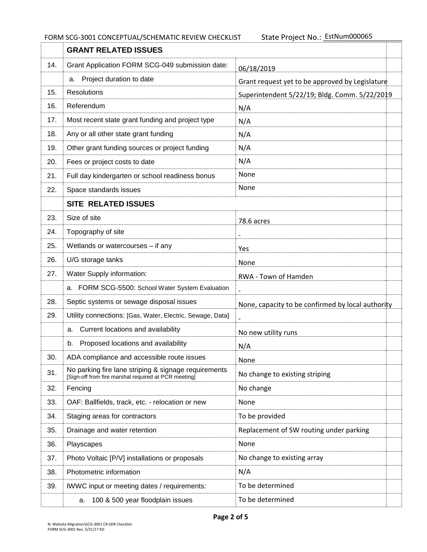|     | <b>GRANT RELATED ISSUES</b>                                                                                  |                                                   |  |
|-----|--------------------------------------------------------------------------------------------------------------|---------------------------------------------------|--|
| 14. | Grant Application FORM SCG-049 submission date:                                                              | 06/18/2019                                        |  |
|     | Project duration to date<br>a.                                                                               | Grant request yet to be approved by Legislature   |  |
| 15. | <b>Resolutions</b>                                                                                           | Superintendent 5/22/19; Bldg. Comm. 5/22/2019     |  |
| 16. | Referendum                                                                                                   | N/A                                               |  |
| 17. | Most recent state grant funding and project type                                                             | N/A                                               |  |
| 18. | Any or all other state grant funding                                                                         | N/A                                               |  |
| 19. | Other grant funding sources or project funding                                                               | N/A                                               |  |
| 20. | Fees or project costs to date                                                                                | N/A                                               |  |
| 21. | Full day kindergarten or school readiness bonus                                                              | None                                              |  |
| 22. | Space standards issues                                                                                       | None                                              |  |
|     | <b>SITE RELATED ISSUES</b>                                                                                   |                                                   |  |
| 23. | Size of site                                                                                                 | 78.6 acres                                        |  |
| 24. | Topography of site                                                                                           |                                                   |  |
| 25. | Wetlands or watercourses - if any                                                                            | <b>Yes</b>                                        |  |
| 26. | U/G storage tanks                                                                                            | None                                              |  |
| 27. | Water Supply information:                                                                                    | RWA - Town of Hamden                              |  |
|     | a. FORM SCG-5500: School Water System Evaluation                                                             |                                                   |  |
| 28. | Septic systems or sewage disposal issues                                                                     | None, capacity to be confirmed by local authority |  |
| 29. | Utility connections: [Gas, Water, Electric, Sewage, Data]                                                    |                                                   |  |
|     | Current locations and availability<br>а.                                                                     | No new utility runs                               |  |
|     | Proposed locations and availability<br>b.                                                                    | N/A                                               |  |
| 30. | ADA compliance and accessible route issues                                                                   | None                                              |  |
| 31. | No parking fire lane striping & signage requirements<br>[Sign-off from fire marshal required at PCR meeting] | No change to existing striping                    |  |
| 32. | Fencing                                                                                                      | No change                                         |  |
| 33. | OAF: Ballfields, track, etc. - relocation or new                                                             | None                                              |  |
| 34. | Staging areas for contractors                                                                                | To be provided                                    |  |
| 35. | Drainage and water retention                                                                                 | Replacement of SW routing under parking           |  |
| 36. | Playscapes                                                                                                   | None                                              |  |
| 37. | Photo Voltaic [P/V] installations or proposals                                                               | No change to existing array                       |  |
| 38. | Photometric information                                                                                      | N/A                                               |  |
| 39. | IWWC input or meeting dates / requirements:                                                                  | To be determined                                  |  |
|     | 100 & 500 year floodplain issues<br>a.                                                                       | To be determined                                  |  |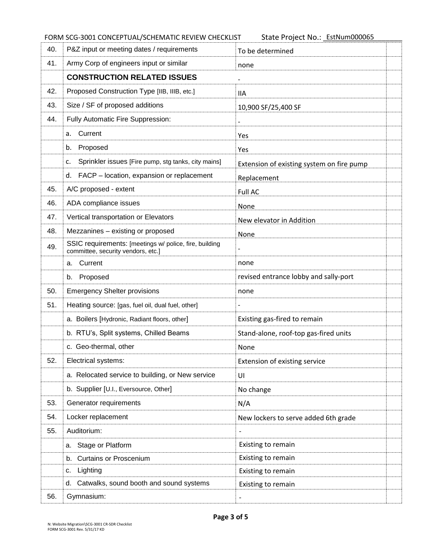## FORM SCG-3001 CONCEPTUAL/SCHEMATIC REVIEW CHECKLIST

State Project No.: EstNum000065

| 40. | P&Z input or meeting dates / requirements                                                    | To be determined                          |  |
|-----|----------------------------------------------------------------------------------------------|-------------------------------------------|--|
| 41. | Army Corp of engineers input or similar                                                      | none                                      |  |
|     | <b>CONSTRUCTION RELATED ISSUES</b>                                                           |                                           |  |
| 42. | Proposed Construction Type [IIB, IIIB, etc.]                                                 | 11A                                       |  |
| 43. | Size / SF of proposed additions                                                              | 10,900 SF/25,400 SF                       |  |
| 44. | Fully Automatic Fire Suppression:                                                            |                                           |  |
|     | Current<br>a.                                                                                | Yes                                       |  |
|     | Proposed<br>b.                                                                               | Yes                                       |  |
|     | Sprinkler issues [Fire pump, stg tanks, city mains]<br>c.                                    | Extension of existing system on fire pump |  |
|     | FACP - location, expansion or replacement<br>d.                                              | Replacement                               |  |
| 45. | A/C proposed - extent                                                                        | Full AC                                   |  |
| 46. | ADA compliance issues                                                                        | None                                      |  |
| 47. | Vertical transportation or Elevators                                                         | New elevator in Addition                  |  |
| 48. | Mezzanines - existing or proposed                                                            | None                                      |  |
| 49. | SSIC requirements: [meetings w/ police, fire, building<br>committee, security vendors, etc.] |                                           |  |
|     | Current<br>a.                                                                                | none                                      |  |
|     | Proposed<br>b.                                                                               | revised entrance lobby and sally-port     |  |
| 50. | <b>Emergency Shelter provisions</b>                                                          | none                                      |  |
| 51. | Heating source: [gas, fuel oil, dual fuel, other]                                            |                                           |  |
|     | a. Boilers [Hydronic, Radiant floors, other]                                                 | Existing gas-fired to remain              |  |
|     | b. RTU's, Split systems, Chilled Beams                                                       | Stand-alone, roof-top gas-fired units     |  |
|     | c. Geo-thermal, other                                                                        | None                                      |  |
| 52. | Electrical systems:                                                                          | Extension of existing service             |  |
|     | a. Relocated service to building, or New service                                             | UI                                        |  |
|     | b. Supplier [U.I., Eversource, Other]                                                        | No change                                 |  |
| 53. | Generator requirements                                                                       | N/A                                       |  |
| 54. | Locker replacement                                                                           | New lockers to serve added 6th grade      |  |
| 55. | Auditorium:                                                                                  |                                           |  |
|     | Stage or Platform<br>а.                                                                      | Existing to remain                        |  |
|     | <b>Curtains or Proscenium</b><br>b.                                                          | Existing to remain                        |  |
|     | Lighting<br>с.                                                                               | Existing to remain                        |  |
|     | Catwalks, sound booth and sound systems<br>d.                                                | Existing to remain                        |  |
| 56. | Gymnasium:                                                                                   |                                           |  |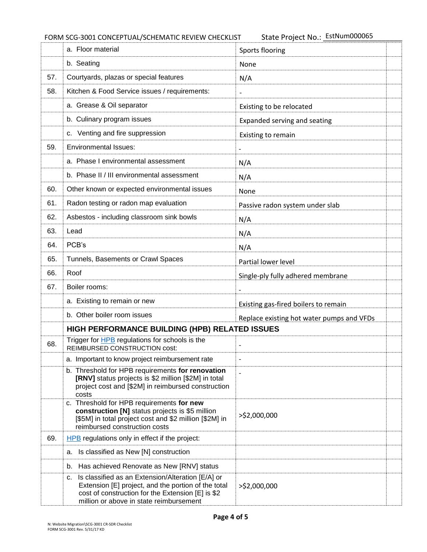FORM SCG-3001 CONCEPTUAL/SCHEMATIC REVIEW CHECKLIST

State Project No.: EstNum000065

|                                                | a. Floor material                                                                                                                                                                                              | Sports flooring                           |  |
|------------------------------------------------|----------------------------------------------------------------------------------------------------------------------------------------------------------------------------------------------------------------|-------------------------------------------|--|
|                                                | b. Seating                                                                                                                                                                                                     | None                                      |  |
| 57.                                            | Courtyards, plazas or special features                                                                                                                                                                         | N/A                                       |  |
| 58.                                            | Kitchen & Food Service issues / requirements:                                                                                                                                                                  |                                           |  |
|                                                | a. Grease & Oil separator                                                                                                                                                                                      | Existing to be relocated                  |  |
|                                                | b. Culinary program issues                                                                                                                                                                                     | Expanded serving and seating              |  |
|                                                | c. Venting and fire suppression                                                                                                                                                                                | Existing to remain                        |  |
| 59.                                            | <b>Environmental Issues:</b>                                                                                                                                                                                   |                                           |  |
|                                                | a. Phase I environmental assessment                                                                                                                                                                            | N/A                                       |  |
|                                                | b. Phase II / III environmental assessment                                                                                                                                                                     | N/A                                       |  |
| 60.                                            | Other known or expected environmental issues                                                                                                                                                                   | None                                      |  |
| 61.                                            | Radon testing or radon map evaluation                                                                                                                                                                          | Passive radon system under slab           |  |
| 62.                                            | Asbestos - including classroom sink bowls                                                                                                                                                                      | N/A                                       |  |
| 63.                                            | Lead                                                                                                                                                                                                           | N/A                                       |  |
| 64.                                            | PCB's                                                                                                                                                                                                          | N/A                                       |  |
| 65.                                            | Tunnels, Basements or Crawl Spaces                                                                                                                                                                             | Partial lower level                       |  |
| 66.                                            | Roof                                                                                                                                                                                                           | Single-ply fully adhered membrane         |  |
| 67.                                            | Boiler rooms:                                                                                                                                                                                                  |                                           |  |
|                                                | a. Existing to remain or new                                                                                                                                                                                   | Existing gas-fired boilers to remain      |  |
|                                                | b. Other boiler room issues                                                                                                                                                                                    | Replace existing hot water pumps and VFDs |  |
| HIGH PERFORMANCE BUILDING (HPB) RELATED ISSUES |                                                                                                                                                                                                                |                                           |  |
| 68.                                            | Trigger for <b>HPB</b> regulations for schools is the<br>REIMBURSED CONSTRUCTION cost:                                                                                                                         |                                           |  |
|                                                | a. Important to know project reimbursement rate                                                                                                                                                                | $\overline{a}$                            |  |
|                                                | b. Threshold for HPB requirements for renovation<br>[RNV] status projects is \$2 million [\$2M] in total<br>project cost and [\$2M] in reimbursed construction<br>costs                                        |                                           |  |
|                                                | c. Threshold for HPB requirements for new<br>construction [N] status projects is \$5 million<br>[\$5M] in total project cost and \$2 million [\$2M] in<br>reimbursed construction costs                        | >\$2,000,000                              |  |
| 69.                                            | HPB regulations only in effect if the project:                                                                                                                                                                 |                                           |  |
|                                                | Is classified as New [N] construction<br>а.                                                                                                                                                                    |                                           |  |
|                                                | Has achieved Renovate as New [RNV] status<br>b.                                                                                                                                                                |                                           |  |
|                                                | Is classified as an Extension/Alteration [E/A] or<br>с.<br>Extension [E] project, and the portion of the total<br>cost of construction for the Extension [E] is \$2<br>million or above in state reimbursement | >\$2,000,000                              |  |